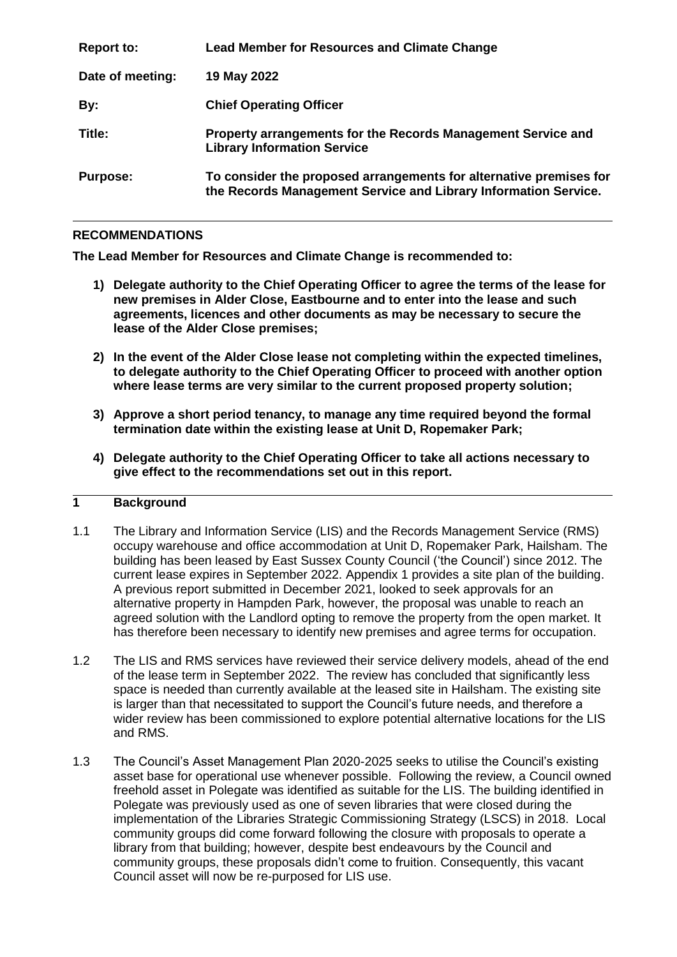| <b>Report to:</b> | <b>Lead Member for Resources and Climate Change</b>                                                                                   |
|-------------------|---------------------------------------------------------------------------------------------------------------------------------------|
| Date of meeting:  | 19 May 2022                                                                                                                           |
| By:               | <b>Chief Operating Officer</b>                                                                                                        |
| Title:            | Property arrangements for the Records Management Service and<br><b>Library Information Service</b>                                    |
| <b>Purpose:</b>   | To consider the proposed arrangements for alternative premises for<br>the Records Management Service and Library Information Service. |

#### **RECOMMENDATIONS**

**The Lead Member for Resources and Climate Change is recommended to:**

- **1) Delegate authority to the Chief Operating Officer to agree the terms of the lease for new premises in Alder Close, Eastbourne and to enter into the lease and such agreements, licences and other documents as may be necessary to secure the lease of the Alder Close premises;**
- **2) In the event of the Alder Close lease not completing within the expected timelines, to delegate authority to the Chief Operating Officer to proceed with another option where lease terms are very similar to the current proposed property solution;**
- **3) Approve a short period tenancy, to manage any time required beyond the formal termination date within the existing lease at Unit D, Ropemaker Park;**
- **4) Delegate authority to the Chief Operating Officer to take all actions necessary to give effect to the recommendations set out in this report.**

# **1 Background**

- 1.1 The Library and Information Service (LIS) and the Records Management Service (RMS) occupy warehouse and office accommodation at Unit D, Ropemaker Park, Hailsham. The building has been leased by East Sussex County Council ('the Council') since 2012. The current lease expires in September 2022. Appendix 1 provides a site plan of the building. A previous report submitted in December 2021, looked to seek approvals for an alternative property in Hampden Park, however, the proposal was unable to reach an agreed solution with the Landlord opting to remove the property from the open market. It has therefore been necessary to identify new premises and agree terms for occupation.
- 1.2 The LIS and RMS services have reviewed their service delivery models, ahead of the end of the lease term in September 2022. The review has concluded that significantly less space is needed than currently available at the leased site in Hailsham. The existing site is larger than that necessitated to support the Council's future needs, and therefore a wider review has been commissioned to explore potential alternative locations for the LIS and RMS.
- 1.3 The Council's Asset Management Plan 2020-2025 seeks to utilise the Council's existing asset base for operational use whenever possible. Following the review, a Council owned freehold asset in Polegate was identified as suitable for the LIS. The building identified in Polegate was previously used as one of seven libraries that were closed during the implementation of the Libraries Strategic Commissioning Strategy (LSCS) in 2018. Local community groups did come forward following the closure with proposals to operate a library from that building; however, despite best endeavours by the Council and community groups, these proposals didn't come to fruition. Consequently, this vacant Council asset will now be re-purposed for LIS use.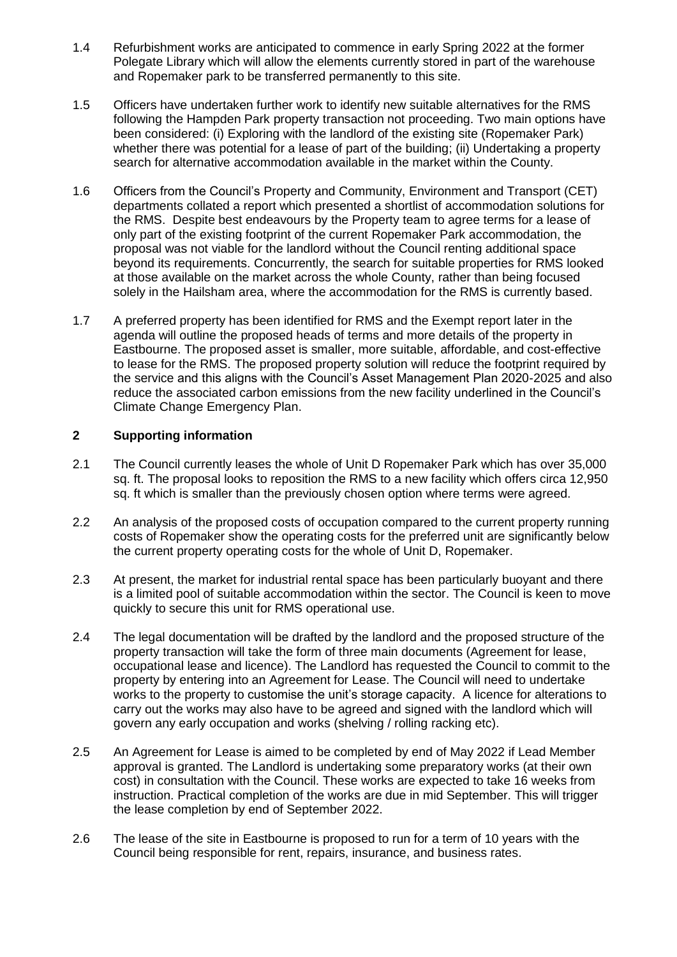- 1.4 Refurbishment works are anticipated to commence in early Spring 2022 at the former Polegate Library which will allow the elements currently stored in part of the warehouse and Ropemaker park to be transferred permanently to this site.
- 1.5 Officers have undertaken further work to identify new suitable alternatives for the RMS following the Hampden Park property transaction not proceeding. Two main options have been considered: (i) Exploring with the landlord of the existing site (Ropemaker Park) whether there was potential for a lease of part of the building; (ii) Undertaking a property search for alternative accommodation available in the market within the County.
- 1.6 Officers from the Council's Property and Community, Environment and Transport (CET) departments collated a report which presented a shortlist of accommodation solutions for the RMS. Despite best endeavours by the Property team to agree terms for a lease of only part of the existing footprint of the current Ropemaker Park accommodation, the proposal was not viable for the landlord without the Council renting additional space beyond its requirements. Concurrently, the search for suitable properties for RMS looked at those available on the market across the whole County, rather than being focused solely in the Hailsham area, where the accommodation for the RMS is currently based.
- 1.7 A preferred property has been identified for RMS and the Exempt report later in the agenda will outline the proposed heads of terms and more details of the property in Eastbourne. The proposed asset is smaller, more suitable, affordable, and cost-effective to lease for the RMS. The proposed property solution will reduce the footprint required by the service and this aligns with the Council's Asset Management Plan 2020-2025 and also reduce the associated carbon emissions from the new facility underlined in the Council's Climate Change Emergency Plan.

## **2 Supporting information**

- 2.1 The Council currently leases the whole of Unit D Ropemaker Park which has over 35,000 sq. ft. The proposal looks to reposition the RMS to a new facility which offers circa 12,950 sq. ft which is smaller than the previously chosen option where terms were agreed.
- 2.2 An analysis of the proposed costs of occupation compared to the current property running costs of Ropemaker show the operating costs for the preferred unit are significantly below the current property operating costs for the whole of Unit D, Ropemaker.
- 2.3 At present, the market for industrial rental space has been particularly buovant and there is a limited pool of suitable accommodation within the sector. The Council is keen to move quickly to secure this unit for RMS operational use.
- 2.4 The legal documentation will be drafted by the landlord and the proposed structure of the property transaction will take the form of three main documents (Agreement for lease, occupational lease and licence). The Landlord has requested the Council to commit to the property by entering into an Agreement for Lease. The Council will need to undertake works to the property to customise the unit's storage capacity. A licence for alterations to carry out the works may also have to be agreed and signed with the landlord which will govern any early occupation and works (shelving / rolling racking etc).
- 2.5 An Agreement for Lease is aimed to be completed by end of May 2022 if Lead Member approval is granted. The Landlord is undertaking some preparatory works (at their own cost) in consultation with the Council. These works are expected to take 16 weeks from instruction. Practical completion of the works are due in mid September. This will trigger the lease completion by end of September 2022.
- 2.6 The lease of the site in Eastbourne is proposed to run for a term of 10 years with the Council being responsible for rent, repairs, insurance, and business rates.